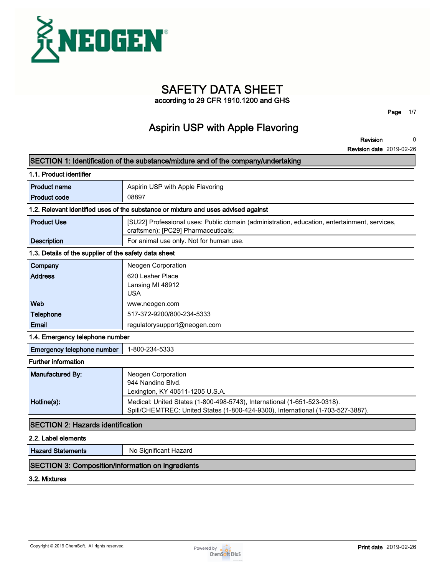

# **SAFETY DATA SHEET**

**according to 29 CFR 1910.1200 and GHS**

**Page 1/7**

### **Aspirin USP with Apple Flavoring**

**Revision 0**

**Revision date 2019-02-26**

|                                                          | SECTION 1: Identification of the substance/mixture and of the company/undertaking                                                                           |
|----------------------------------------------------------|-------------------------------------------------------------------------------------------------------------------------------------------------------------|
| 1.1. Product identifier                                  |                                                                                                                                                             |
| <b>Product name</b>                                      | Aspirin USP with Apple Flavoring                                                                                                                            |
| <b>Product code</b>                                      | 08897                                                                                                                                                       |
|                                                          | 1.2. Relevant identified uses of the substance or mixture and uses advised against                                                                          |
| <b>Product Use</b>                                       | [SU22] Professional uses: Public domain (administration, education, entertainment, services,<br>craftsmen); [PC29] Pharmaceuticals;                         |
| <b>Description</b>                                       | For animal use only. Not for human use.                                                                                                                     |
| 1.3. Details of the supplier of the safety data sheet    |                                                                                                                                                             |
| Company                                                  | Neogen Corporation                                                                                                                                          |
| <b>Address</b>                                           | 620 Lesher Place<br>Lansing MI 48912<br><b>USA</b>                                                                                                          |
| Web                                                      | www.neogen.com                                                                                                                                              |
| <b>Telephone</b>                                         | 517-372-9200/800-234-5333                                                                                                                                   |
| Email                                                    | regulatorysupport@neogen.com                                                                                                                                |
| 1.4. Emergency telephone number                          |                                                                                                                                                             |
| Emergency telephone number                               | 1-800-234-5333                                                                                                                                              |
| <b>Further information</b>                               |                                                                                                                                                             |
| Manufactured By:                                         | Neogen Corporation<br>944 Nandino Blvd.<br>Lexington, KY 40511-1205 U.S.A.                                                                                  |
| Hotline(s):                                              | Medical: United States (1-800-498-5743), International (1-651-523-0318).<br>Spill/CHEMTREC: United States (1-800-424-9300), International (1-703-527-3887). |
| <b>SECTION 2: Hazards identification</b>                 |                                                                                                                                                             |
| 2.2. Label elements                                      |                                                                                                                                                             |
| <b>Hazard Statements</b>                                 | No Significant Hazard                                                                                                                                       |
| <b>SECTION 3: Composition/information on ingredients</b> |                                                                                                                                                             |
| 3.2. Mixtures                                            |                                                                                                                                                             |

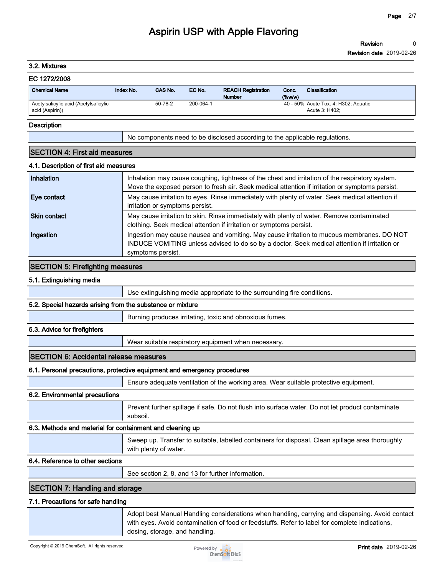**Revision 0**

**Revision date 2019-02-26**

### **3.2. Mixtures**

| EC 1272/2008                                             |           |         |           |                                            |                    |                                                        |
|----------------------------------------------------------|-----------|---------|-----------|--------------------------------------------|--------------------|--------------------------------------------------------|
| <b>Chemical Name</b>                                     | Index No. | CAS No. | EC No.    | <b>REACH Registration</b><br><b>Number</b> | Conc.<br>$(\%w/w)$ | Classification                                         |
| Acetylsalicylic acid (Acetylsalicylic<br>acid (Aspirin)) |           | 50-78-2 | 200-064-1 |                                            |                    | 40 - 50% Acute Tox. 4: H302; Aguatic<br>Acute 3: H402: |

#### **Description**

**No components need to be disclosed according to the applicable regulations.**

### **SECTION 4: First aid measures**

### **4.1. Description of first aid measures**

| Inhalation          | Inhalation may cause coughing, tightness of the chest and irritation of the respiratory system.<br>Move the exposed person to fresh air. Seek medical attention if irritation or symptoms persist.             |
|---------------------|----------------------------------------------------------------------------------------------------------------------------------------------------------------------------------------------------------------|
| Eye contact         | May cause irritation to eyes. Rinse immediately with plenty of water. Seek medical attention if<br>irritation or symptoms persist.                                                                             |
| <b>Skin contact</b> | May cause irritation to skin. Rinse immediately with plenty of water. Remove contaminated<br>clothing. Seek medical attention if irritation or symptoms persist.                                               |
| Ingestion           | Ingestion may cause nausea and vomiting. May cause irritation to mucous membranes. DO NOT<br>INDUCE VOMITING unless advised to do so by a doctor. Seek medical attention if irritation or<br>symptoms persist. |

### **SECTION 5: Firefighting measures**

#### **5.1. Extinguishing media**

**Use extinguishing media appropriate to the surrounding fire conditions.**

### **5.2. Special hazards arising from the substance or mixture**

**Burning produces irritating, toxic and obnoxious fumes.**

### **5.3. Advice for firefighters**

**Wear suitable respiratory equipment when necessary.**

### **SECTION 6: Accidental release measures**

### **6.1. Personal precautions, protective equipment and emergency procedures**

**Ensure adequate ventilation of the working area. Wear suitable protective equipment.**

### **6.2. Environmental precautions**

**Prevent further spillage if safe. Do not flush into surface water. Do not let product contaminate subsoil.**

#### **6.3. Methods and material for containment and cleaning up**

| Sweep up. Transfer to suitable, labelled containers for disposal. Clean spillage area thoroughly<br>with plenty of water. |
|---------------------------------------------------------------------------------------------------------------------------|
|---------------------------------------------------------------------------------------------------------------------------|

### **6.4. Reference to other sections**

**See section 2, 8, and 13 for further information.**

### **SECTION 7: Handling and storage**

#### **7.1. Precautions for safe handling**

**Adopt best Manual Handling considerations when handling, carrying and dispensing. Avoid contact with eyes. Avoid contamination of food or feedstuffs. Refer to label for complete indications, dosing, storage, and handling.**

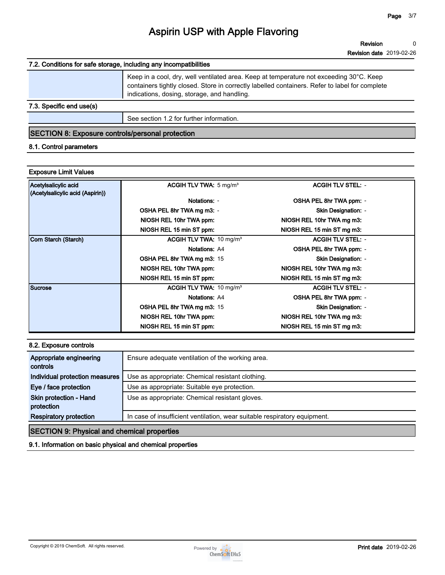**Revision 0**

**Revision date 2019-02-26**

### **7.2. Conditions for safe storage, including any incompatibilities**

|                          | Keep in a cool, dry, well ventilated area. Keep at temperature not exceeding 30°C. Keep<br>containers tightly closed. Store in correctly labelled containers. Refer to label for complete<br>indications, dosing, storage, and handling. |
|--------------------------|------------------------------------------------------------------------------------------------------------------------------------------------------------------------------------------------------------------------------------------|
| 7.3. Specific end use(s) |                                                                                                                                                                                                                                          |

**See section 1.2 for further information.**

### **SECTION 8: Exposure controls/personal protection**

### **8.1. Control parameters**

### **Exposure Limit Values**

| Acetylsalicylic acid             | ACGIH TLV TWA: $5 \text{ mg/m}^3$  | <b>ACGIH TLV STEL: -</b>   |
|----------------------------------|------------------------------------|----------------------------|
| (Acetylsalicylic acid (Aspirin)) |                                    |                            |
|                                  | Notations: -                       | OSHA PEL 8hr TWA ppm: -    |
|                                  | OSHA PEL 8hr TWA mg m3: -          | Skin Designation: -        |
|                                  | NIOSH REL 10hr TWA ppm:            | NIOSH REL 10hr TWA mg m3:  |
|                                  | NIOSH REL 15 min ST ppm:           | NIOSH REL 15 min ST mg m3: |
| Corn Starch (Starch)             | ACGIH TLV TWA: $10 \text{ mg/m}^3$ | <b>ACGIH TLV STEL: -</b>   |
|                                  | <b>Notations: A4</b>               | OSHA PEL 8hr TWA ppm: -    |
|                                  | <b>OSHA PEL 8hr TWA mg m3: 15</b>  | <b>Skin Designation: -</b> |
|                                  | NIOSH REL 10hr TWA ppm:            | NIOSH REL 10hr TWA mg m3:  |
|                                  | NIOSH REL 15 min ST ppm:           | NIOSH REL 15 min ST mg m3: |
| Sucrose                          | ACGIH TLV TWA: $10 \text{ mg/m}^3$ | <b>ACGIH TLV STEL: -</b>   |
|                                  | <b>Notations: A4</b>               | OSHA PEL 8hr TWA ppm: -    |
|                                  | OSHA PEL 8hr TWA mg m3: 15         | <b>Skin Designation: -</b> |
|                                  | NIOSH REL 10hr TWA ppm:            | NIOSH REL 10hr TWA mg m3:  |
|                                  | NIOSH REL 15 min ST ppm:           | NIOSH REL 15 min ST mg m3: |

### **8.2. Exposure controls**

| Appropriate engineering<br>controls                | Ensure adequate ventilation of the working area.                          |
|----------------------------------------------------|---------------------------------------------------------------------------|
| Individual protection measures                     | Use as appropriate: Chemical resistant clothing.                          |
| Eye / face protection                              | Use as appropriate: Suitable eye protection.                              |
| Skin protection - Hand<br>protection               | Use as appropriate: Chemical resistant gloves.                            |
| <b>Respiratory protection</b>                      | In case of insufficient ventilation, wear suitable respiratory equipment. |
| <b>SECTION 9: Physical and chemical properties</b> |                                                                           |

**9.1. Information on basic physical and chemical properties**

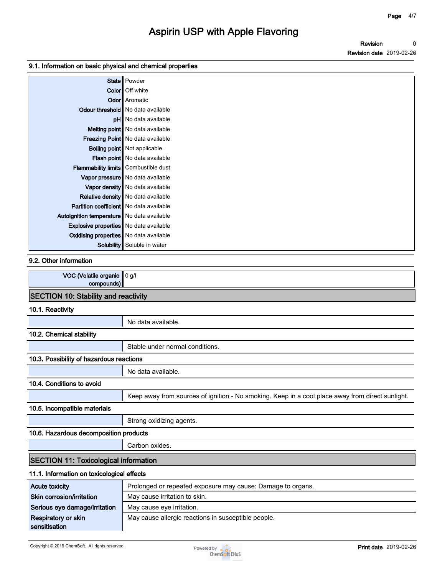**Revision Revision date 2019-02-26 0**

### **9.1. Information on basic physical and chemical properties**

|                                               | State   Powder                            |
|-----------------------------------------------|-------------------------------------------|
|                                               | Color   Off white                         |
|                                               | <b>Odor</b> Aromatic                      |
|                                               | Odour threshold   No data available       |
|                                               | pH   No data available                    |
|                                               | Melting point   No data available         |
|                                               | <b>Freezing Point</b> No data available   |
|                                               | <b>Boiling point</b> Not applicable.      |
|                                               | Flash point No data available             |
| Flammability limits Combustible dust          |                                           |
|                                               | Vapor pressure   No data available        |
|                                               | Vapor density No data available           |
|                                               | <b>Relative density</b> No data available |
| Partition coefficient   No data available     |                                           |
| Autoignition temperature   No data available  |                                           |
| <b>Explosive properties</b> No data available |                                           |
| <b>Oxidising properties</b> No data available |                                           |
| Solubility                                    | Soluble in water                          |

### **9.2. Other information**

| VOC (Volatile organic<br>compounds)          | 0 g/l                                                                                            |
|----------------------------------------------|--------------------------------------------------------------------------------------------------|
| <b>SECTION 10: Stability and reactivity</b>  |                                                                                                  |
| 10.1. Reactivity                             |                                                                                                  |
|                                              | No data available.                                                                               |
| 10.2. Chemical stability                     |                                                                                                  |
|                                              | Stable under normal conditions.                                                                  |
| 10.3. Possibility of hazardous reactions     |                                                                                                  |
|                                              | No data available.                                                                               |
| 10.4. Conditions to avoid                    |                                                                                                  |
|                                              | Keep away from sources of ignition - No smoking. Keep in a cool place away from direct sunlight. |
| 10.5. Incompatible materials                 |                                                                                                  |
|                                              | Strong oxidizing agents.                                                                         |
| 10.6. Hazardous decomposition products       |                                                                                                  |
|                                              | Carbon oxides.                                                                                   |
| <b>SECTION 11: Toxicological information</b> |                                                                                                  |
| 11.1. Information on toxicological effects   |                                                                                                  |
| <b>Acute toxicity</b>                        | Prolonged or repeated exposure may cause: Damage to organs.                                      |
| Skin corrosion/irritation                    | May cause irritation to skin.                                                                    |
| Serious eye damage/irritation                | May cause eye irritation.                                                                        |
| <b>Respiratory or skin</b>                   | May cause allergic reactions in susceptible people.                                              |

**sensitisation** 

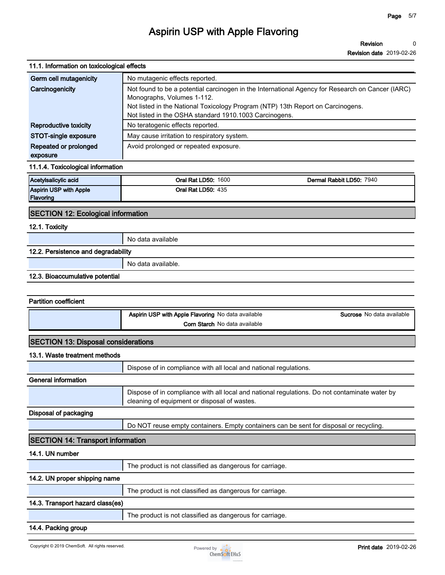**Revision 0**

**Revision date 2019-02-26**

| 11.1. Information on toxicological effects |                                                                                                                                               |  |  |  |  |  |  |  |
|--------------------------------------------|-----------------------------------------------------------------------------------------------------------------------------------------------|--|--|--|--|--|--|--|
| Germ cell mutagenicity                     | No mutagenic effects reported.                                                                                                                |  |  |  |  |  |  |  |
| Carcinogenicity                            | Not found to be a potential carcinogen in the International Agency for Research on Cancer (IARC)                                              |  |  |  |  |  |  |  |
|                                            | Monographs, Volumes 1-112.<br>Not listed in the National Toxicology Program (NTP) 13th Report on Carcinogens.                                 |  |  |  |  |  |  |  |
|                                            | Not listed in the OSHA standard 1910.1003 Carcinogens.                                                                                        |  |  |  |  |  |  |  |
| <b>Reproductive toxicity</b>               | No teratogenic effects reported.                                                                                                              |  |  |  |  |  |  |  |
| STOT-single exposure                       | May cause irritation to respiratory system.                                                                                                   |  |  |  |  |  |  |  |
| Repeated or prolonged<br>exposure          | Avoid prolonged or repeated exposure.                                                                                                         |  |  |  |  |  |  |  |
| 11.1.4. Toxicological information          |                                                                                                                                               |  |  |  |  |  |  |  |
| Acetylsalicylic acid                       | <b>Oral Rat LD50: 1600</b><br>Dermal Rabbit LD50: 7940                                                                                        |  |  |  |  |  |  |  |
| Aspirin USP with Apple                     | <b>Oral Rat LD50: 435</b>                                                                                                                     |  |  |  |  |  |  |  |
| Flavoring                                  |                                                                                                                                               |  |  |  |  |  |  |  |
| <b>SECTION 12: Ecological information</b>  |                                                                                                                                               |  |  |  |  |  |  |  |
| 12.1. Toxicity                             |                                                                                                                                               |  |  |  |  |  |  |  |
|                                            | No data available                                                                                                                             |  |  |  |  |  |  |  |
| 12.2. Persistence and degradability        |                                                                                                                                               |  |  |  |  |  |  |  |
|                                            | No data available.                                                                                                                            |  |  |  |  |  |  |  |
| 12.3. Bioaccumulative potential            |                                                                                                                                               |  |  |  |  |  |  |  |
|                                            |                                                                                                                                               |  |  |  |  |  |  |  |
| <b>Partition coefficient</b>               |                                                                                                                                               |  |  |  |  |  |  |  |
|                                            | Aspirin USP with Apple Flavoring No data available<br><b>Sucrose</b> No data available                                                        |  |  |  |  |  |  |  |
|                                            | Corn Starch No data available                                                                                                                 |  |  |  |  |  |  |  |
|                                            |                                                                                                                                               |  |  |  |  |  |  |  |
| <b>SECTION 13: Disposal considerations</b> |                                                                                                                                               |  |  |  |  |  |  |  |
| 13.1. Waste treatment methods              |                                                                                                                                               |  |  |  |  |  |  |  |
|                                            | Dispose of in compliance with all local and national regulations.                                                                             |  |  |  |  |  |  |  |
| <b>General information</b>                 |                                                                                                                                               |  |  |  |  |  |  |  |
|                                            | Dispose of in compliance with all local and national regulations. Do not contaminate water by<br>cleaning of equipment or disposal of wastes. |  |  |  |  |  |  |  |
| Disposal of packaging                      |                                                                                                                                               |  |  |  |  |  |  |  |
|                                            | Do NOT reuse empty containers. Empty containers can be sent for disposal or recycling.                                                        |  |  |  |  |  |  |  |
| <b>SECTION 14: Transport information</b>   |                                                                                                                                               |  |  |  |  |  |  |  |
| 14.1. UN number                            |                                                                                                                                               |  |  |  |  |  |  |  |
|                                            | The product is not classified as dangerous for carriage.                                                                                      |  |  |  |  |  |  |  |
| 14.2. UN proper shipping name              |                                                                                                                                               |  |  |  |  |  |  |  |
|                                            | The product is not classified as dangerous for carriage.                                                                                      |  |  |  |  |  |  |  |
| 14.3. Transport hazard class(es)           |                                                                                                                                               |  |  |  |  |  |  |  |
|                                            | The product is not classified as dangerous for carriage.                                                                                      |  |  |  |  |  |  |  |
| 14.4. Packing group                        |                                                                                                                                               |  |  |  |  |  |  |  |
|                                            |                                                                                                                                               |  |  |  |  |  |  |  |

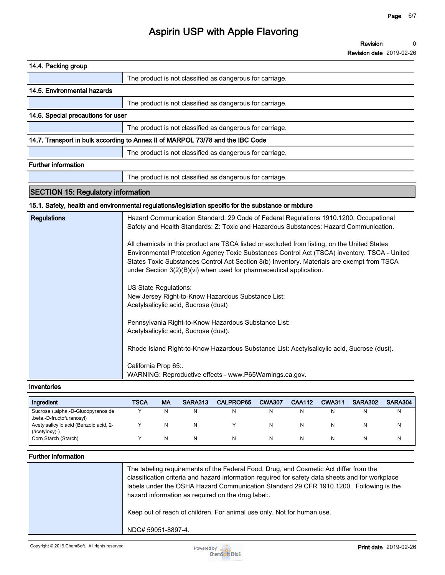**Revision 0**

**Revision date 2019-02-26**

#### **Inventories**

| Ingredient                                                       | TSCA | <b>MA</b> | SARA313 | <b>CALPROP65</b> | <b>CWA307</b> | <b>CAA112</b> | <b>CWA311</b> | <b>SARA302</b> | SARA304 |
|------------------------------------------------------------------|------|-----------|---------|------------------|---------------|---------------|---------------|----------------|---------|
| Sucrose (.alpha.-D-Glucopyranoside,<br>.beta.-D-fructofuranosyl) |      |           | N       | N                |               |               | N             | N              | N       |
| Acetylsalicylic acid (Benzoic acid, 2-<br>(acetyloxy)-)          |      |           | N       |                  |               |               | N             |                | N       |
| Corn Starch (Starch)                                             |      |           | N       | N                |               |               | N             |                | N       |

### **Further information**

| The labeling requirements of the Federal Food, Drug, and Cosmetic Act differ from the<br>classification criteria and hazard information required for safety data sheets and for workplace<br>labels under the OSHA Hazard Communication Standard 29 CFR 1910.1200. Following is the<br>hazard information as required on the drug label:. |
|-------------------------------------------------------------------------------------------------------------------------------------------------------------------------------------------------------------------------------------------------------------------------------------------------------------------------------------------|
| Keep out of reach of children. For animal use only. Not for human use.                                                                                                                                                                                                                                                                    |
| NDC# 59051-8897-4.                                                                                                                                                                                                                                                                                                                        |